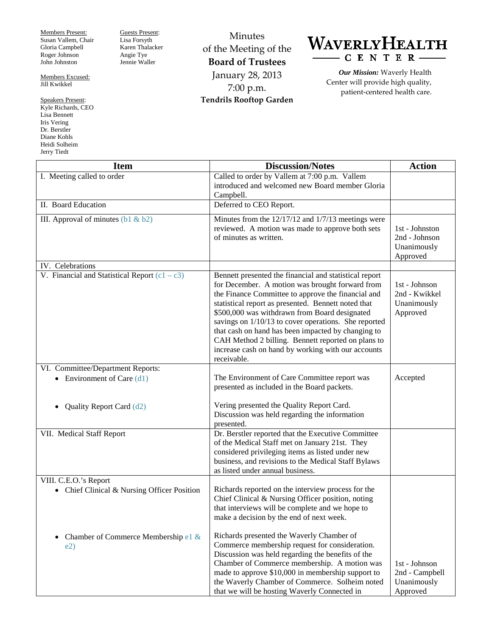Members Present: Susan Vallem, Chair Gloria Campbell Roger Johnson John Johnston

Members Excused: Jill Kwikkel

Speakers Present: Kyle Richards, CEO Lisa Bennett Iris Vering Dr. Berstler Diane Kohls Heidi Solheim Jerry Tiedt

Guests Present: Lisa Forsyth Karen Thalacker Angie Tye Jennie Waller

Minutes of the Meeting of the **Board of Trustees** January 28, 2013 7:00 p.m. **Tendrils Rooftop Garden**

## WAVERLYHEALTH CENTER-

*Our Mission:* Waverly Health Center will provide high quality, patient-centered health care.

| <b>Item</b>                                     | <b>Discussion/Notes</b>                                                                                                                                                                                                                                                                                                                                                                                                                                                                                          | <b>Action</b>                                              |
|-------------------------------------------------|------------------------------------------------------------------------------------------------------------------------------------------------------------------------------------------------------------------------------------------------------------------------------------------------------------------------------------------------------------------------------------------------------------------------------------------------------------------------------------------------------------------|------------------------------------------------------------|
| I. Meeting called to order                      | Called to order by Vallem at 7:00 p.m. Vallem<br>introduced and welcomed new Board member Gloria<br>Campbell.                                                                                                                                                                                                                                                                                                                                                                                                    |                                                            |
| II. Board Education                             | Deferred to CEO Report.                                                                                                                                                                                                                                                                                                                                                                                                                                                                                          |                                                            |
| III. Approval of minutes $(b1 \& b2)$           | Minutes from the $12/17/12$ and $1/7/13$ meetings were<br>reviewed. A motion was made to approve both sets<br>of minutes as written.                                                                                                                                                                                                                                                                                                                                                                             | 1st - Johnston<br>2nd - Johnson<br>Unanimously<br>Approved |
| IV. Celebrations                                |                                                                                                                                                                                                                                                                                                                                                                                                                                                                                                                  |                                                            |
| V. Financial and Statistical Report $(c1 - c3)$ | Bennett presented the financial and statistical report<br>for December. A motion was brought forward from<br>the Finance Committee to approve the financial and<br>statistical report as presented. Bennett noted that<br>\$500,000 was withdrawn from Board designated<br>savings on 1/10/13 to cover operations. She reported<br>that cash on hand has been impacted by changing to<br>CAH Method 2 billing. Bennett reported on plans to<br>increase cash on hand by working with our accounts<br>receivable. | 1st - Johnson<br>2nd - Kwikkel<br>Unanimously<br>Approved  |
| VI. Committee/Department Reports:               |                                                                                                                                                                                                                                                                                                                                                                                                                                                                                                                  |                                                            |
| • Environment of Care $(d1)$                    | The Environment of Care Committee report was<br>presented as included in the Board packets.                                                                                                                                                                                                                                                                                                                                                                                                                      | Accepted                                                   |
| Quality Report Card (d2)                        | Vering presented the Quality Report Card.<br>Discussion was held regarding the information<br>presented.                                                                                                                                                                                                                                                                                                                                                                                                         |                                                            |
| VII. Medical Staff Report                       | Dr. Berstler reported that the Executive Committee<br>of the Medical Staff met on January 21st. They<br>considered privileging items as listed under new<br>business, and revisions to the Medical Staff Bylaws<br>as listed under annual business.                                                                                                                                                                                                                                                              |                                                            |
| VIII. C.E.O.'s Report                           |                                                                                                                                                                                                                                                                                                                                                                                                                                                                                                                  |                                                            |
| • Chief Clinical & Nursing Officer Position     | Richards reported on the interview process for the<br>Chief Clinical & Nursing Officer position, noting<br>that interviews will be complete and we hope to<br>make a decision by the end of next week.                                                                                                                                                                                                                                                                                                           |                                                            |
| Chamber of Commerce Membership e1 &<br>e2)      | Richards presented the Waverly Chamber of<br>Commerce membership request for consideration.<br>Discussion was held regarding the benefits of the<br>Chamber of Commerce membership. A motion was<br>made to approve \$10,000 in membership support to<br>the Waverly Chamber of Commerce. Solheim noted<br>that we will be hosting Waverly Connected in                                                                                                                                                          | 1st - Johnson<br>2nd - Campbell<br>Unanimously<br>Approved |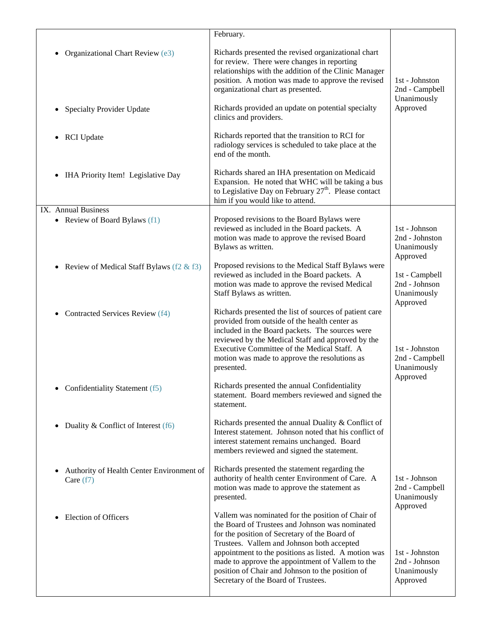|                                                                                   | February.                                                                                                                                                                                                                                                                                                                                                                                                  |                                                             |
|-----------------------------------------------------------------------------------|------------------------------------------------------------------------------------------------------------------------------------------------------------------------------------------------------------------------------------------------------------------------------------------------------------------------------------------------------------------------------------------------------------|-------------------------------------------------------------|
| Organizational Chart Review (e3)<br><b>Specialty Provider Update</b><br>$\bullet$ | Richards presented the revised organizational chart<br>for review. There were changes in reporting<br>relationships with the addition of the Clinic Manager<br>position. A motion was made to approve the revised<br>organizational chart as presented.<br>Richards provided an update on potential specialty                                                                                              | 1st - Johnston<br>2nd - Campbell<br>Unanimously<br>Approved |
|                                                                                   | clinics and providers.                                                                                                                                                                                                                                                                                                                                                                                     |                                                             |
| <b>RCI</b> Update<br>٠                                                            | Richards reported that the transition to RCI for<br>radiology services is scheduled to take place at the<br>end of the month.                                                                                                                                                                                                                                                                              |                                                             |
| IHA Priority Item! Legislative Day                                                | Richards shared an IHA presentation on Medicaid<br>Expansion. He noted that WHC will be taking a bus<br>to Legislative Day on February 27 <sup>th</sup> . Please contact<br>him if you would like to attend.                                                                                                                                                                                               |                                                             |
| IX. Annual Business<br>• Review of Board Bylaws (f1)                              | Proposed revisions to the Board Bylaws were<br>reviewed as included in the Board packets. A<br>motion was made to approve the revised Board<br>Bylaws as written.                                                                                                                                                                                                                                          | 1st - Johnson<br>2nd - Johnston<br>Unanimously<br>Approved  |
| Review of Medical Staff Bylaws (f2 $\&$ f3)<br>$\bullet$                          | Proposed revisions to the Medical Staff Bylaws were<br>reviewed as included in the Board packets. A<br>motion was made to approve the revised Medical<br>Staff Bylaws as written.                                                                                                                                                                                                                          | 1st - Campbell<br>2nd - Johnson<br>Unanimously<br>Approved  |
| Contracted Services Review (f4)                                                   | Richards presented the list of sources of patient care<br>provided from outside of the health center as<br>included in the Board packets. The sources were<br>reviewed by the Medical Staff and approved by the<br>Executive Committee of the Medical Staff. A<br>motion was made to approve the resolutions as<br>presented.                                                                              | 1st - Johnston<br>2nd - Campbell<br>Unanimously<br>Approved |
| • Confidentiality Statement (f5)                                                  | Richards presented the annual Confidentiality<br>statement. Board members reviewed and signed the<br>statement.                                                                                                                                                                                                                                                                                            |                                                             |
| Duality & Conflict of Interest (f6)<br>$\bullet$                                  | Richards presented the annual Duality & Conflict of<br>Interest statement. Johnson noted that his conflict of<br>interest statement remains unchanged. Board<br>members reviewed and signed the statement.                                                                                                                                                                                                 |                                                             |
| Authority of Health Center Environment of<br>$\bullet$<br>Care $(f7)$             | Richards presented the statement regarding the<br>authority of health center Environment of Care. A<br>motion was made to approve the statement as<br>presented.                                                                                                                                                                                                                                           | 1st - Johnson<br>2nd - Campbell<br>Unanimously<br>Approved  |
| <b>Election of Officers</b>                                                       | Vallem was nominated for the position of Chair of<br>the Board of Trustees and Johnson was nominated<br>for the position of Secretary of the Board of<br>Trustees. Vallem and Johnson both accepted<br>appointment to the positions as listed. A motion was<br>made to approve the appointment of Vallem to the<br>position of Chair and Johnson to the position of<br>Secretary of the Board of Trustees. | 1st - Johnston<br>2nd - Johnson<br>Unanimously<br>Approved  |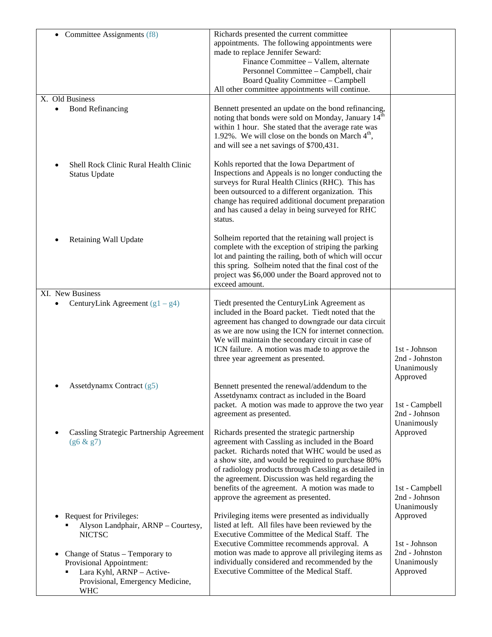| • Committee Assignments (f8)                                                                                                               | Richards presented the current committee<br>appointments. The following appointments were<br>made to replace Jennifer Seward:<br>Finance Committee - Vallem, alternate<br>Personnel Committee - Campbell, chair<br>Board Quality Committee - Campbell<br>All other committee appointments will continue.                                                                   |                                                            |
|--------------------------------------------------------------------------------------------------------------------------------------------|----------------------------------------------------------------------------------------------------------------------------------------------------------------------------------------------------------------------------------------------------------------------------------------------------------------------------------------------------------------------------|------------------------------------------------------------|
| X. Old Business                                                                                                                            |                                                                                                                                                                                                                                                                                                                                                                            |                                                            |
| <b>Bond Refinancing</b>                                                                                                                    | Bennett presented an update on the bond refinancing,<br>noting that bonds were sold on Monday, January 14 <sup>th</sup><br>within 1 hour. She stated that the average rate was<br>1.92%. We will close on the bonds on March $4th$ ,<br>and will see a net savings of \$700,431.                                                                                           |                                                            |
| Shell Rock Clinic Rural Health Clinic<br><b>Status Update</b>                                                                              | Kohls reported that the Iowa Department of<br>Inspections and Appeals is no longer conducting the<br>surveys for Rural Health Clinics (RHC). This has<br>been outsourced to a different organization. This<br>change has required additional document preparation<br>and has caused a delay in being surveyed for RHC<br>status.                                           |                                                            |
| Retaining Wall Update                                                                                                                      | Solheim reported that the retaining wall project is<br>complete with the exception of striping the parking<br>lot and painting the railing, both of which will occur<br>this spring. Solheim noted that the final cost of the<br>project was \$6,000 under the Board approved not to<br>exceed amount.                                                                     |                                                            |
| XI. New Business                                                                                                                           |                                                                                                                                                                                                                                                                                                                                                                            |                                                            |
| CenturyLink Agreement $(g1 - g4)$                                                                                                          | Tiedt presented the CenturyLink Agreement as<br>included in the Board packet. Tiedt noted that the<br>agreement has changed to downgrade our data circuit<br>as we are now using the ICN for internet connection.<br>We will maintain the secondary circuit in case of<br>ICN failure. A motion was made to approve the<br>three year agreement as presented.              | 1st - Johnson<br>2nd - Johnston<br>Unanimously<br>Approved |
| Assetdynamx Contract (g5)                                                                                                                  | Bennett presented the renewal/addendum to the<br>Assetdynamx contract as included in the Board                                                                                                                                                                                                                                                                             |                                                            |
|                                                                                                                                            | packet. A motion was made to approve the two year<br>agreement as presented.                                                                                                                                                                                                                                                                                               | 1st - Campbell<br>2nd - Johnson                            |
| Cassling Strategic Partnership Agreement<br>(g6 & g7)                                                                                      | Richards presented the strategic partnership<br>agreement with Cassling as included in the Board<br>packet. Richards noted that WHC would be used as<br>a show site, and would be required to purchase 80%<br>of radiology products through Cassling as detailed in<br>the agreement. Discussion was held regarding the<br>benefits of the agreement. A motion was made to | Unanimously<br>Approved<br>1st - Campbell                  |
|                                                                                                                                            | approve the agreement as presented.                                                                                                                                                                                                                                                                                                                                        | 2nd - Johnson                                              |
| <b>Request for Privileges:</b><br>Alyson Landphair, ARNP - Courtesy,<br><b>NICTSC</b>                                                      | Privileging items were presented as individually<br>listed at left. All files have been reviewed by the<br>Executive Committee of the Medical Staff. The                                                                                                                                                                                                                   | Unanimously<br>Approved                                    |
| Change of Status - Temporary to<br>Provisional Appointment:<br>Lara Kyhl, ARNP - Active-<br>Provisional, Emergency Medicine,<br><b>WHC</b> | Executive Committee recommends approval. A<br>motion was made to approve all privileging items as<br>individually considered and recommended by the<br>Executive Committee of the Medical Staff.                                                                                                                                                                           | 1st - Johnson<br>2nd - Johnston<br>Unanimously<br>Approved |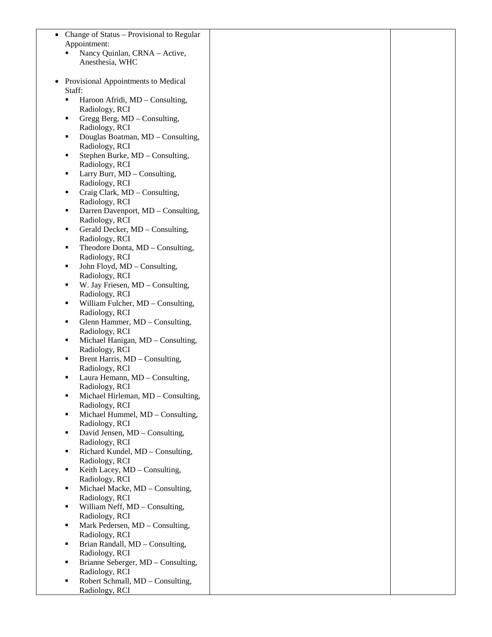| Change of Status – Provisional to Regular              |  |
|--------------------------------------------------------|--|
| Appointment:                                           |  |
| Nancy Quinlan, CRNA - Active,                          |  |
| Anesthesia, WHC                                        |  |
|                                                        |  |
| Provisional Appointments to Medical                    |  |
| Staff:                                                 |  |
| Haroon Afridi, MD - Consulting,<br>п                   |  |
| Radiology, RCI                                         |  |
| Gregg Berg, MD - Consulting,<br>п                      |  |
| Radiology, RCI                                         |  |
| Douglas Boatman, MD - Consulting,<br>п                 |  |
| Radiology, RCI                                         |  |
| Stephen Burke, MD - Consulting,<br>٠                   |  |
| Radiology, RCI                                         |  |
| Larry Burr, MD - Consulting,<br>п                      |  |
| Radiology, RCI<br>Craig Clark, MD - Consulting,<br>п   |  |
| Radiology, RCI                                         |  |
| Darren Davenport, MD - Consulting,<br>п                |  |
| Radiology, RCI                                         |  |
| Gerald Decker, MD - Consulting,<br>п                   |  |
| Radiology, RCI                                         |  |
| Theodore Donta, MD - Consulting,<br>п                  |  |
| Radiology, RCI                                         |  |
| John Floyd, MD - Consulting,<br>п                      |  |
| Radiology, RCI                                         |  |
| W. Jay Friesen, MD - Consulting,<br>п                  |  |
| Radiology, RCI                                         |  |
| William Fulcher, MD - Consulting,<br>٠                 |  |
| Radiology, RCI                                         |  |
| Glenn Hammer, MD - Consulting,<br>٠                    |  |
| Radiology, RCI<br>п                                    |  |
| Michael Hanigan, MD - Consulting,<br>Radiology, RCI    |  |
| Brent Harris, MD - Consulting,<br>٠                    |  |
| Radiology, RCI                                         |  |
| Laura Hemann, MD - Consulting,                         |  |
| Radiology, RCI                                         |  |
| Michael Hirleman, MD - Consulting,<br>п                |  |
| Radiology, RCI                                         |  |
| Michael Hummel, MD - Consulting,<br>٠                  |  |
| Radiology, RCI                                         |  |
| David Jensen, MD - Consulting,<br>٠                    |  |
| Radiology, RCI                                         |  |
| Richard Kundel, MD - Consulting,<br>٠                  |  |
| Radiology, RCI                                         |  |
| Keith Lacey, MD - Consulting,<br>٠                     |  |
| Radiology, RCI<br>Michael Macke, MD - Consulting,<br>∎ |  |
| Radiology, RCI                                         |  |
| William Neff, MD - Consulting,<br>٠                    |  |
| Radiology, RCI                                         |  |
| Mark Pedersen, MD - Consulting,<br>٠                   |  |
| Radiology, RCI                                         |  |
| Brian Randall, MD - Consulting,                        |  |
| Radiology, RCI                                         |  |
| Brianne Seberger, MD - Consulting,<br>п                |  |
| Radiology, RCI                                         |  |
| Robert Schmall, MD - Consulting,                       |  |
| Radiology, RCI                                         |  |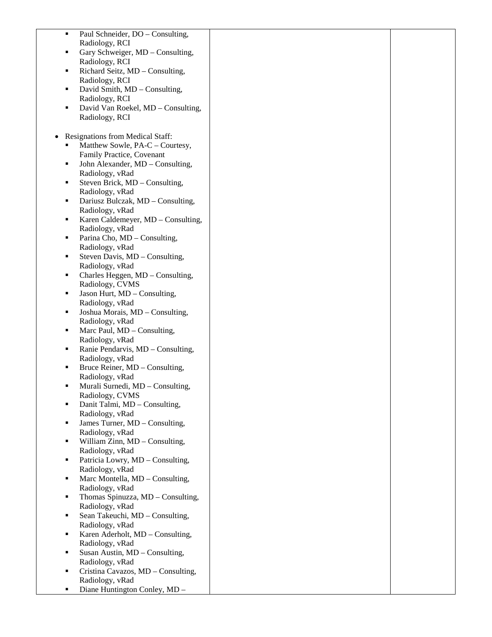| Paul Schneider, DO - Consulting,<br>٠                        |  |
|--------------------------------------------------------------|--|
| Radiology, RCI                                               |  |
| Gary Schweiger, MD - Consulting,<br>٠                        |  |
| Radiology, RCI                                               |  |
| Richard Seitz, MD - Consulting,<br>٠                         |  |
| Radiology, RCI                                               |  |
| David Smith, MD - Consulting,<br>٠                           |  |
| Radiology, RCI                                               |  |
| David Van Roekel, MD - Consulting,<br>٠                      |  |
| Radiology, RCI                                               |  |
|                                                              |  |
| Resignations from Medical Staff:<br>٠<br>٠                   |  |
| Matthew Sowle, PA-C - Courtesy,<br>Family Practice, Covenant |  |
| John Alexander, MD - Consulting,<br>٠                        |  |
| Radiology, vRad                                              |  |
| Steven Brick, MD - Consulting,<br>٠                          |  |
| Radiology, vRad                                              |  |
| Dariusz Bulczak, MD - Consulting,<br>٠                       |  |
| Radiology, vRad                                              |  |
| Karen Caldemeyer, MD - Consulting,<br>٠                      |  |
| Radiology, vRad                                              |  |
| Parina Cho, MD - Consulting,<br>٠                            |  |
| Radiology, vRad                                              |  |
| Steven Davis, MD - Consulting,<br>٠                          |  |
| Radiology, vRad                                              |  |
| Charles Heggen, MD - Consulting,<br>٠                        |  |
| Radiology, CVMS<br>Jason Hurt, MD - Consulting,<br>٠         |  |
| Radiology, vRad                                              |  |
| Joshua Morais, MD - Consulting,<br>٠                         |  |
| Radiology, vRad                                              |  |
| Marc Paul, MD - Consulting,<br>٠                             |  |
| Radiology, vRad                                              |  |
| Ranie Pendarvis, MD - Consulting,<br>٠                       |  |
| Radiology, vRad                                              |  |
| Bruce Reiner, MD – Consulting,<br>٠                          |  |
| Radiology, vRad                                              |  |
| Murali Surnedi, MD - Consulting,<br>٠                        |  |
| Radiology, CVMS                                              |  |
| Danit Talmi, MD - Consulting,<br>٠<br>Radiology, vRad        |  |
| James Turner, MD - Consulting,<br>٠                          |  |
| Radiology, vRad                                              |  |
| William Zinn, MD - Consulting,<br>٠                          |  |
| Radiology, vRad                                              |  |
| Patricia Lowry, MD - Consulting,<br>٠                        |  |
| Radiology, vRad                                              |  |
| Marc Montella, MD - Consulting,<br>٠                         |  |
| Radiology, vRad                                              |  |
| Thomas Spinuzza, MD - Consulting,<br>٠                       |  |
| Radiology, vRad                                              |  |
| Sean Takeuchi, MD - Consulting,<br>٠                         |  |
| Radiology, vRad                                              |  |
| Karen Aderholt, MD - Consulting,<br>٠                        |  |
| Radiology, vRad<br>Susan Austin, MD - Consulting,<br>٠       |  |
| Radiology, vRad                                              |  |
| Cristina Cavazos, MD - Consulting,<br>٠                      |  |
| Radiology, vRad                                              |  |
| Diane Huntington Conley, MD -<br>٠                           |  |
|                                                              |  |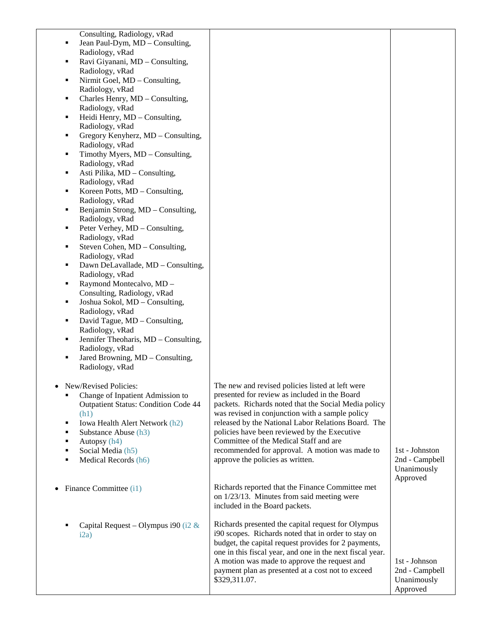| Consulting, Radiology, vRad                           |                                                           |                |
|-------------------------------------------------------|-----------------------------------------------------------|----------------|
| Jean Paul-Dym, MD - Consulting,<br>٠                  |                                                           |                |
| Radiology, vRad                                       |                                                           |                |
| Ravi Giyanani, MD - Consulting,<br>٠                  |                                                           |                |
| Radiology, vRad                                       |                                                           |                |
| Nirmit Goel, MD - Consulting,<br>٠                    |                                                           |                |
| Radiology, vRad                                       |                                                           |                |
| Charles Henry, MD - Consulting,<br>٠                  |                                                           |                |
| Radiology, vRad                                       |                                                           |                |
| Heidi Henry, MD - Consulting,<br>٠                    |                                                           |                |
| Radiology, vRad                                       |                                                           |                |
| Gregory Kenyherz, MD - Consulting,<br>٠               |                                                           |                |
| Radiology, vRad                                       |                                                           |                |
| Timothy Myers, MD - Consulting,<br>٠                  |                                                           |                |
| Radiology, vRad                                       |                                                           |                |
| Asti Pilika, MD - Consulting,<br>٠                    |                                                           |                |
| Radiology, vRad                                       |                                                           |                |
| Koreen Potts, MD – Consulting,<br>٠                   |                                                           |                |
| Radiology, vRad                                       |                                                           |                |
| Benjamin Strong, MD - Consulting,<br>٠                |                                                           |                |
| Radiology, vRad                                       |                                                           |                |
| Peter Verhey, MD - Consulting,<br>٠                   |                                                           |                |
| Radiology, vRad                                       |                                                           |                |
| Steven Cohen, MD – Consulting,<br>٠                   |                                                           |                |
| Radiology, vRad                                       |                                                           |                |
| Dawn DeLavallade, MD - Consulting,<br>٠               |                                                           |                |
| Radiology, vRad                                       |                                                           |                |
| Raymond Montecalvo, MD -<br>٠                         |                                                           |                |
| Consulting, Radiology, vRad<br>٠                      |                                                           |                |
| Joshua Sokol, MD - Consulting,                        |                                                           |                |
| Radiology, vRad<br>David Tague, MD - Consulting,<br>٠ |                                                           |                |
| Radiology, vRad                                       |                                                           |                |
| Jennifer Theoharis, MD - Consulting,<br>٠             |                                                           |                |
| Radiology, vRad                                       |                                                           |                |
| Jared Browning, MD - Consulting,<br>٠                 |                                                           |                |
| Radiology, vRad                                       |                                                           |                |
|                                                       |                                                           |                |
| New/Revised Policies:                                 | The new and revised policies listed at left were          |                |
| Change of Inpatient Admission to                      | presented for review as included in the Board             |                |
| <b>Outpatient Status: Condition Code 44</b>           | packets. Richards noted that the Social Media policy      |                |
| (h1)                                                  | was revised in conjunction with a sample policy           |                |
| Iowa Health Alert Network (h2)<br>٠                   | released by the National Labor Relations Board. The       |                |
| Substance Abuse (h3)<br>٠                             | policies have been reviewed by the Executive              |                |
| Autopsy (h4)<br>$\blacksquare$                        | Committee of the Medical Staff and are                    |                |
| Social Media (h5)                                     | recommended for approval. A motion was made to            | 1st - Johnston |
| Medical Records (h6)                                  | approve the policies as written.                          | 2nd - Campbell |
|                                                       |                                                           | Unanimously    |
|                                                       |                                                           | Approved       |
| Finance Committee (i1)                                | Richards reported that the Finance Committee met          |                |
|                                                       | on 1/23/13. Minutes from said meeting were                |                |
|                                                       | included in the Board packets.                            |                |
|                                                       |                                                           |                |
| Capital Request – Olympus i90 (i2 $\&$                | Richards presented the capital request for Olympus        |                |
| i2a)                                                  | i90 scopes. Richards noted that in order to stay on       |                |
|                                                       | budget, the capital request provides for 2 payments,      |                |
|                                                       | one in this fiscal year, and one in the next fiscal year. |                |
|                                                       | A motion was made to approve the request and              | 1st - Johnson  |
|                                                       | payment plan as presented at a cost not to exceed         | 2nd - Campbell |
|                                                       | \$329,311.07.                                             | Unanimously    |
|                                                       |                                                           | Approved       |